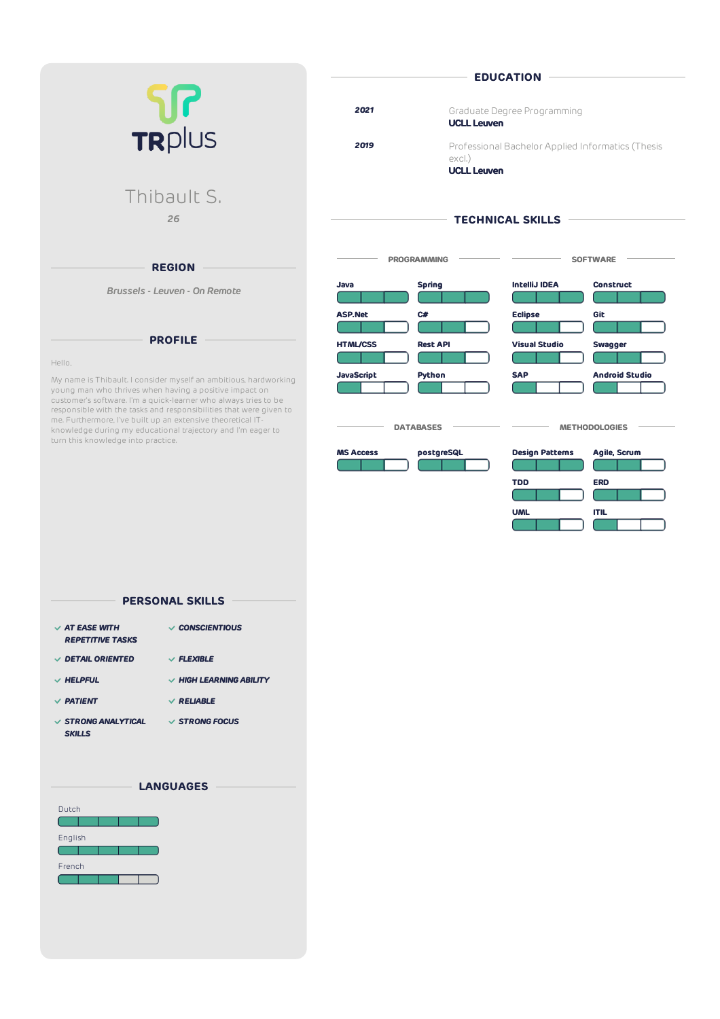|                                                                                                                            |                   |                              | <b>EDUCATION</b>                                  |                       |
|----------------------------------------------------------------------------------------------------------------------------|-------------------|------------------------------|---------------------------------------------------|-----------------------|
|                                                                                                                            | 2021              | <b>UCLL Leuven</b>           | Graduate Degree Programming                       |                       |
| TRPIUS                                                                                                                     | 2019              | excl.)<br><b>UCLL Leuven</b> | Professional Bachelor Applied Informatics (Thesis |                       |
| Thibault S.                                                                                                                |                   |                              |                                                   |                       |
| 26                                                                                                                         |                   |                              | <b>TECHNICAL SKILLS</b>                           |                       |
| <b>REGION</b>                                                                                                              |                   | <b>PROGRAMMING</b>           |                                                   | <b>SOFTWARE</b>       |
| Brussels - Leuven - On Remote                                                                                              | Java              | <b>Spring</b>                | <b>IntelliJ IDEA</b>                              | <b>Construct</b>      |
|                                                                                                                            | <b>ASP.Net</b>    | C#                           | <b>Eclipse</b>                                    | Git                   |
| <b>PROFILE</b><br>Hello,                                                                                                   | <b>HTML/CSS</b>   | <b>Rest API</b>              | <b>Visual Studio</b>                              | Swagger               |
| My name is Thibault. I consider myself an ambitious, hardworking<br>young man who thrives when having a positive impact on | <b>JavaScript</b> | Python                       | <b>SAP</b>                                        | <b>Android Studio</b> |

**MS Access postgreSQL Design Patterns Agile, Scrum**

 $\overline{\phantom{a}}$  databases  $\overline{\phantom{a}}$   $\overline{\phantom{a}}$  methodologies  $\overline{\phantom{a}}$ 

**TDD ERD**

**UML ITIL**

customer's software. I'm a quick-learner who always tries to be responsible with the tasks and responsibilities that were given to me. Furthermore, I've built up an extensive theoretical ITknowledge during my educational trajectory and I'm eager to turn this knowledge into practice.

| $\vee$ AT EASE WITH      | $\vee$ CONSCIENTIOUS         |
|--------------------------|------------------------------|
| <b>REPETITIVE TASKS</b>  |                              |
|                          |                              |
| $\vee$ DETAIL ORIENTED   | $\vee$ FLEXIBLE              |
| $\vee$ HELPFUL           | $\vee$ HIGH LEARNING ABILITY |
|                          |                              |
| $\vee$ PATIENT           | $\vee$ RELIABLE              |
|                          |                              |
| $\vee$ STRONG ANALYTICAL | $\vee$ STRONG FOCUS          |
| <b>SKILLS</b>            |                              |
|                          |                              |

**PERSONAL SKILLS**